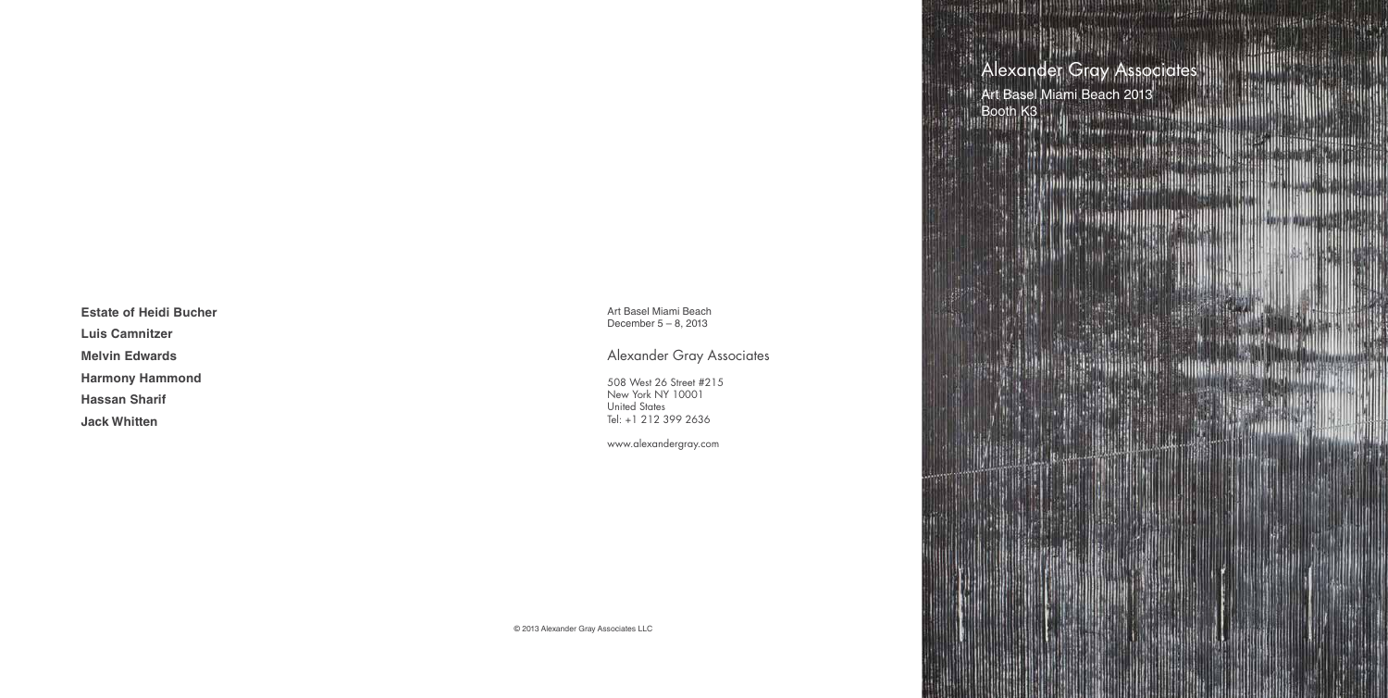© 2013 Alexander Gray Associates LLC

Alexander Gray Associates

508 West 26 Street #215 New York NY 10001 United States Tel: +1 212 399 2636

www.alexandergray.com

Art Basel Miami Beach December 5 – 8, 2013



**Estate of Heidi Bucher Luis Camnitzer Melvin Edwards Harmony Hammond Hassan Sharif**

**Jack Whitten**